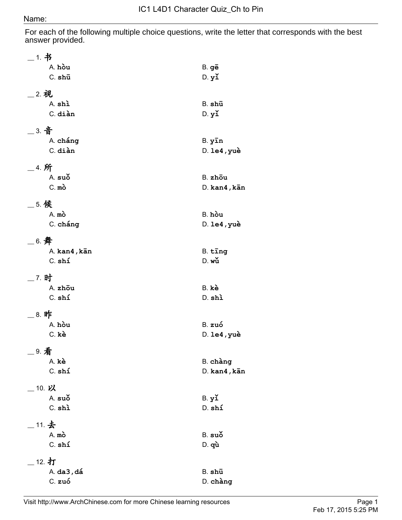For each of the following multiple choice questions, write the letter that corresponds with the best answer provided.

| _ 1. 书          |               |
|-----------------|---------------|
| A. hou          | B. gē         |
| $C.$ shū        | D. y1         |
|                 |               |
| _2. 视<br>A. shì |               |
| C. diàn         | B. shū        |
|                 | D. y1         |
| __ 3. 音         |               |
| A. cháng        | B. yīn        |
| C. diàn         | $D.$ le4, yuè |
| __ 4. 所         |               |
| A. suo          | B. zhou       |
| $C.$ m $\delta$ | D. kan4, kān  |
|                 |               |
| _5.候            |               |
| $A.$ m $\delta$ | B. hou        |
| C. cháng        | $D.$ 1e4, yuè |
| $\_$ 6. 舞       |               |
| A. kan4, kān    | B. ting       |
| C. shí          | $D.$ wu       |
|                 |               |
| __ 7. 时         |               |
| A. zhou         | B. kè         |
| C. shí          | D. shì        |
| _ 8. 昨          |               |
| A. hou          | B. zuó        |
| C. kè           | $D.$ le4, yuè |
|                 |               |
| _9. 看           |               |
| A. kè           | B. chàng      |
| C. shí          | D. kan4, kān  |
| _10. 以          |               |
| A. suò          | B. y1         |
| C. shì          | D. shí        |
|                 |               |
| _ 11. 去         |               |
| $A.$ m $\delta$ | B. suò        |
| C. shí          | $D.$ qu       |
| _12. 打          |               |
| A. da3, dá      | B. shū        |
| C. zuó          | D. chàng      |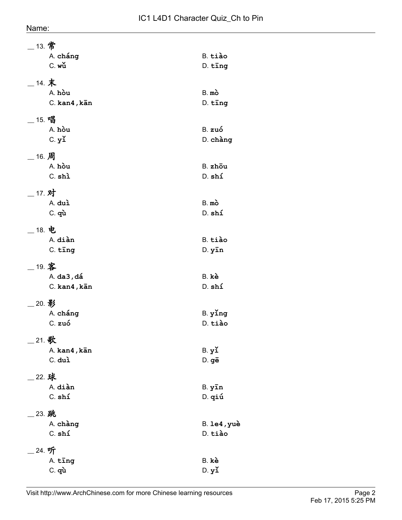| Name |
|------|
|------|

|            | _13. 常           |                    |
|------------|------------------|--------------------|
|            | A. cháng         | B. tiào            |
|            | $C.$ wu          | D. ting            |
|            |                  |                    |
| _14. 末     |                  |                    |
|            | A. hou           | $B.m\delta$        |
|            | C. kan4, kan     | D. ting            |
| $\_$ 15. 唱 |                  |                    |
|            | A. hòu           | B. zuó             |
|            | C. y1            | D. chàng           |
|            |                  |                    |
| _16. 周     |                  |                    |
|            | A. hou           | B. zhou            |
|            | C. shì           | D. shi             |
| __ 17. 对   |                  |                    |
|            | A. duì           | $B.m\delta$        |
|            | $C.$ qu          | D. shi             |
|            |                  |                    |
| __ 18. 电   |                  |                    |
|            | A. diàn          | B. tiào            |
|            | C. ting          | $D.$ $y\bar{1}n$   |
| $\_$ 19. 客 |                  |                    |
|            |                  |                    |
|            | $A.$ da $3,$ dá  | B. kè              |
|            | C. kan4, kan     | D. shi             |
|            |                  |                    |
| _ 20. 影    |                  |                    |
|            | A. cháng         | B. ying            |
|            | C. zuó           | D. tiào            |
| $\_$ 21. 歌 |                  |                    |
|            | A. kan4, kān     | B. y1              |
|            | C. duì           | D. gē              |
|            |                  |                    |
| _22. 球     | A. diàn          |                    |
|            | C. shí           | B. yīn             |
|            |                  | D. qiú             |
|            | 23. 跳            |                    |
|            | A. chàng         | <b>B.</b> 1e4, yuè |
|            | C. shí           | D. tiào            |
|            |                  |                    |
|            | 24. 听<br>A. tīng | B. kè              |